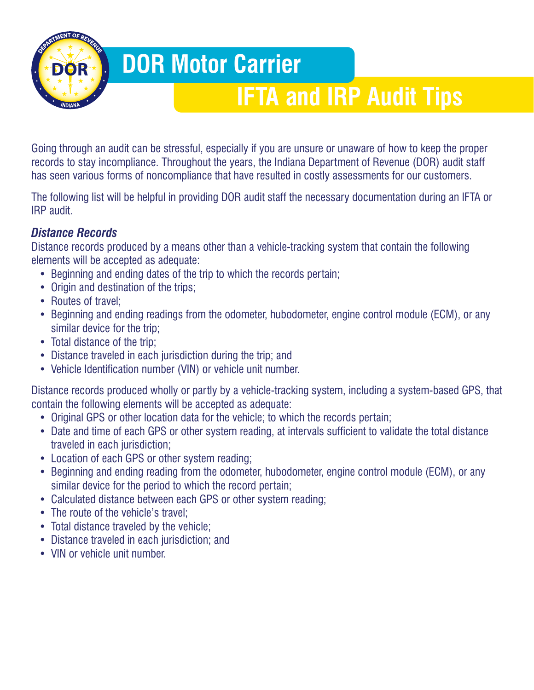## **DOR Motor Carrier**

# **IFTA and IRP Audit Tips**

Going through an audit can be stressful, especially if you are unsure or unaware of how to keep the proper records to stay incompliance. Throughout the years, the Indiana Department of Revenue (DOR) audit staff has seen various forms of noncompliance that have resulted in costly assessments for our customers.

The following list will be helpful in providing DOR audit staff the necessary documentation during an IFTA or IRP audit.

### *Distance Records*

Distance records produced by a means other than a vehicle-tracking system that contain the following elements will be accepted as adequate:

- Beginning and ending dates of the trip to which the records pertain;
- Origin and destination of the trips;
- Routes of travel:
- Beginning and ending readings from the odometer, hubodometer, engine control module (ECM), or any similar device for the trip;
- Total distance of the trip;
- Distance traveled in each jurisdiction during the trip; and
- Vehicle Identification number (VIN) or vehicle unit number.

Distance records produced wholly or partly by a vehicle-tracking system, including a system-based GPS, that contain the following elements will be accepted as adequate:

- Original GPS or other location data for the vehicle; to which the records pertain;
- Date and time of each GPS or other system reading, at intervals sufficient to validate the total distance traveled in each jurisdiction;
- Location of each GPS or other system reading;
- Beginning and ending reading from the odometer, hubodometer, engine control module (ECM), or any similar device for the period to which the record pertain;
- Calculated distance between each GPS or other system reading;
- The route of the vehicle's travel:
- Total distance traveled by the vehicle;
- Distance traveled in each jurisdiction; and
- VIN or vehicle unit number.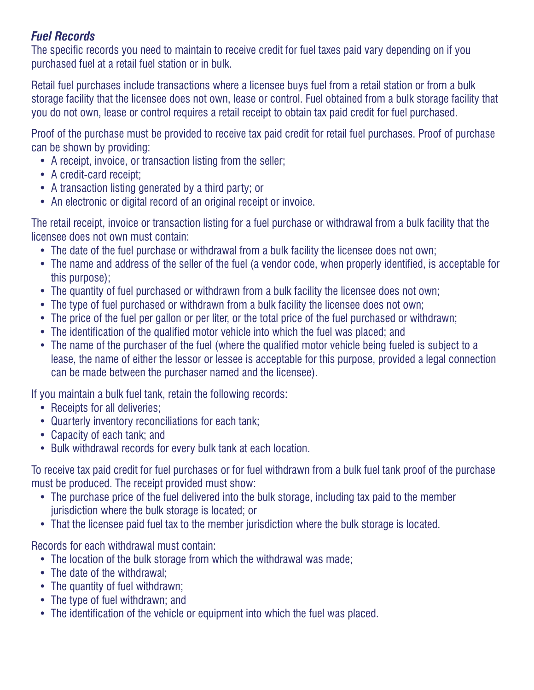#### *Fuel Records*

The specific records you need to maintain to receive credit for fuel taxes paid vary depending on if you purchased fuel at a retail fuel station or in bulk.

Retail fuel purchases include transactions where a licensee buys fuel from a retail station or from a bulk storage facility that the licensee does not own, lease or control. Fuel obtained from a bulk storage facility that you do not own, lease or control requires a retail receipt to obtain tax paid credit for fuel purchased.

Proof of the purchase must be provided to receive tax paid credit for retail fuel purchases. Proof of purchase can be shown by providing:

- A receipt, invoice, or transaction listing from the seller;
- A credit-card receipt;
- A transaction listing generated by a third party; or
- An electronic or digital record of an original receipt or invoice.

The retail receipt, invoice or transaction listing for a fuel purchase or withdrawal from a bulk facility that the licensee does not own must contain:

- The date of the fuel purchase or withdrawal from a bulk facility the licensee does not own:
- The name and address of the seller of the fuel (a vendor code, when properly identified, is acceptable for this purpose);
- The quantity of fuel purchased or withdrawn from a bulk facility the licensee does not own;
- The type of fuel purchased or withdrawn from a bulk facility the licensee does not own;
- The price of the fuel per gallon or per liter, or the total price of the fuel purchased or withdrawn;
- The identification of the qualified motor vehicle into which the fuel was placed; and
- The name of the purchaser of the fuel (where the qualified motor vehicle being fueled is subject to a lease, the name of either the lessor or lessee is acceptable for this purpose, provided a legal connection can be made between the purchaser named and the licensee).

If you maintain a bulk fuel tank, retain the following records:

- Receipts for all deliveries:
- Quarterly inventory reconciliations for each tank;
- Capacity of each tank; and
- Bulk withdrawal records for every bulk tank at each location.

To receive tax paid credit for fuel purchases or for fuel withdrawn from a bulk fuel tank proof of the purchase must be produced. The receipt provided must show:

- The purchase price of the fuel delivered into the bulk storage, including tax paid to the member jurisdiction where the bulk storage is located; or
- That the licensee paid fuel tax to the member jurisdiction where the bulk storage is located.

Records for each withdrawal must contain:

- The location of the bulk storage from which the withdrawal was made;
- The date of the withdrawal:
- The quantity of fuel withdrawn;
- The type of fuel withdrawn; and
- The identification of the vehicle or equipment into which the fuel was placed.